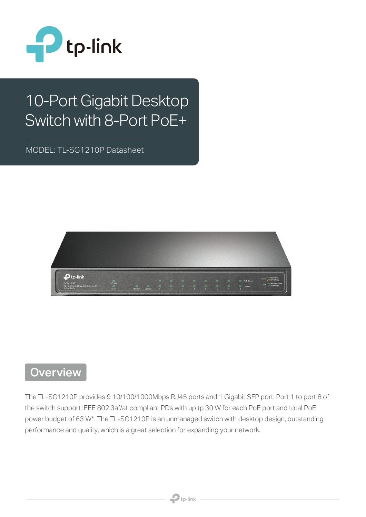

# 10-Port Gigabit Desktop Switch with 8-Port PoE+

MODEL: TL-SG1210P Datasheet



## **Overview**

The TL-SG1210P provides 9 10/100/1000Mbps RJ45 ports and 1 Gigabit SFP port. Port 1 to port 8 of the switch support IEEE 802.3af/at compliant PDs with up tp 30 W for each PoE port and total PoE power budget of 63 W\*. The TL-SG1210P is an unmanaged switch with desktop design, outstanding performance and quality, which is a great selection for expanding your network.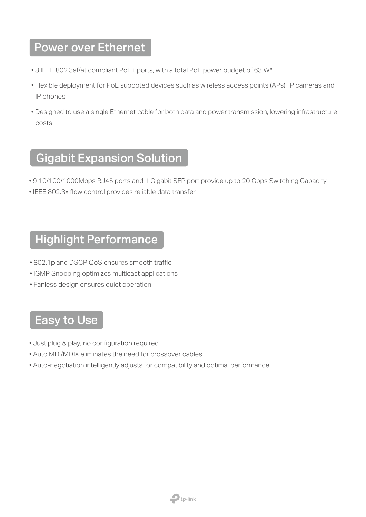## Power over Ethernet

- 8 IEEE 802.3af/at compliant PoE+ ports, with a total PoE power budget of 63 W\*
- Flexible deployment for PoE suppoted devices such as wireless access points (APs), IP cameras and IP phones
- Designed to use a single Ethernet cable for both data and power transmission, lowering infrastructure costs

# Gigabit Expansion Solution

- 9 10/100/1000Mbps RJ45 ports and 1 Gigabit SFP port provide up to 20 Gbps Switching Capacity
- IEEE 802.3x flow control provides reliable data transfer

#### Highlight Performance

- 802.1p and DSCP QoS ensures smooth traffic
- IGMP Snooping optimizes multicast applications
- Fanless design ensures quiet operation

#### **Easy to Use**

- Just plug & play, no configuration required
- Auto MDI/MDIX eliminates the need for crossover cables
- Auto-negotiation intelligently adjusts for compatibility and optimal performance